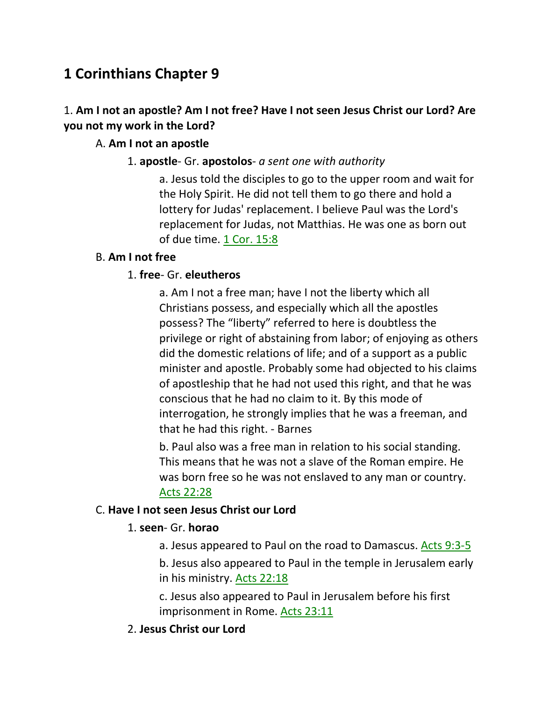# **1 Corinthians Chapter 9**

# 1. **Am I not an apostle? Am I not free? Have I not seen Jesus Christ our Lord? Are you not my work in the Lord?**

# A. **Am I not an apostle**

1. **apostle**- Gr. **apostolos**- *a sent one with authority*

a. Jesus told the disciples to go to the upper room and wait for the Holy Spirit. He did not tell them to go there and hold a lottery for Judas' replacement. I believe Paul was the Lord's replacement for Judas, not Matthias. He was one as born out of due time. 1 Cor. 15:8

# B. **Am I not free**

# 1. **free**- Gr. **eleutheros**

a. Am I not a free man; have I not the liberty which all Christians possess, and especially which all the apostles possess? The "liberty" referred to here is doubtless the privilege or right of abstaining from labor; of enjoying as others did the domestic relations of life; and of a support as a public minister and apostle. Probably some had objected to his claims of apostleship that he had not used this right, and that he was conscious that he had no claim to it. By this mode of interrogation, he strongly implies that he was a freeman, and that he had this right. - Barnes

b. Paul also was a free man in relation to his social standing. This means that he was not a slave of the Roman empire. He was born free so he was not enslaved to any man or country. Acts 22:28

# C. **Have I not seen Jesus Christ our Lord**

# 1. **seen**- Gr. **horao**

a. Jesus appeared to Paul on the road to Damascus. Acts 9:3-5 b. Jesus also appeared to Paul in the temple in Jerusalem early in his ministry. Acts 22:18

c. Jesus also appeared to Paul in Jerusalem before his first imprisonment in Rome. Acts 23:11

# 2. **Jesus Christ our Lord**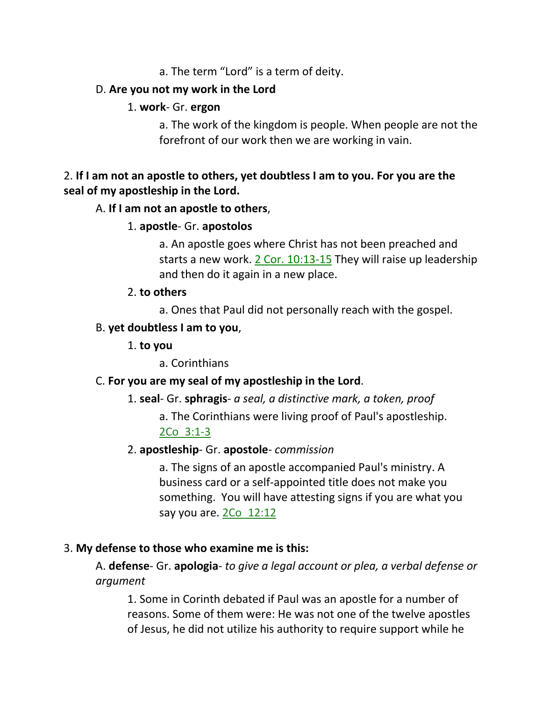a. The term "Lord" is a term of deity.

# D. **Are you not my work in the Lord**

## 1. **work**- Gr. **ergon**

a. The work of the kingdom is people. When people are not the forefront of our work then we are working in vain.

# 2. **If I am not an apostle to others, yet doubtless I am to you. For you are the seal of my apostleship in the Lord.**

## A. **If I am not an apostle to others**,

1. **apostle**- Gr. **apostolos**

a. An apostle goes where Christ has not been preached and starts a new work. 2 Cor. 10:13-15 They will raise up leadership and then do it again in a new place.

## 2. **to others**

a. Ones that Paul did not personally reach with the gospel.

## B. **yet doubtless I am to you**,

1. **to you**

a. Corinthians

## C. **For you are my seal of my apostleship in the Lord**.

1. **seal**- Gr. **sphragis**- *a seal, a distinctive mark, a token, proof*

a. The Corinthians were living proof of Paul's apostleship. 2Co\_3:1-3

## 2. **apostleship**- Gr. **apostole**- *commission*

a. The signs of an apostle accompanied Paul's ministry. A business card or a self-appointed title does not make you something. You will have attesting signs if you are what you say you are. 2Co 12:12

## 3. **My defense to those who examine me is this:**

A. **defense**- Gr. **apologia**- *to give a legal account or plea, a verbal defense or argument*

1. Some in Corinth debated if Paul was an apostle for a number of reasons. Some of them were: He was not one of the twelve apostles of Jesus, he did not utilize his authority to require support while he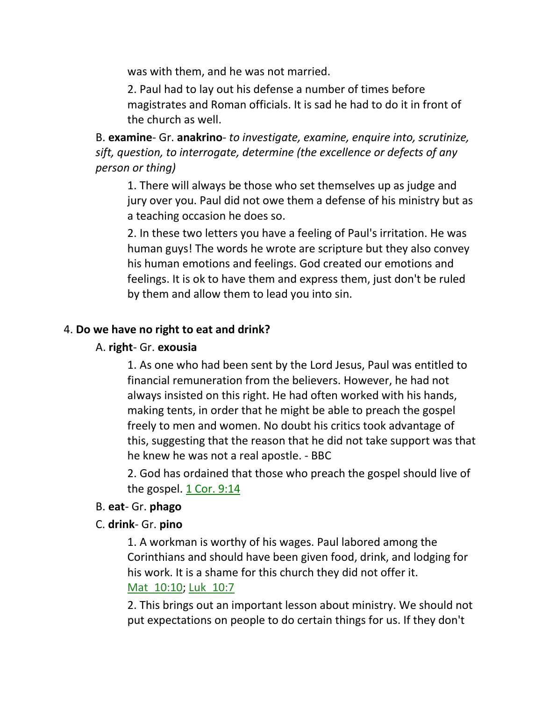was with them, and he was not married.

2. Paul had to lay out his defense a number of times before magistrates and Roman officials. It is sad he had to do it in front of the church as well.

B. **examine**- Gr. **anakrino**- *to investigate, examine, enquire into, scrutinize, sift, question, to interrogate, determine (the excellence or defects of any person or thing)*

1. There will always be those who set themselves up as judge and jury over you. Paul did not owe them a defense of his ministry but as a teaching occasion he does so.

2. In these two letters you have a feeling of Paul's irritation. He was human guys! The words he wrote are scripture but they also convey his human emotions and feelings. God created our emotions and feelings. It is ok to have them and express them, just don't be ruled by them and allow them to lead you into sin.

## 4. **Do we have no right to eat and drink?**

#### A. **right**- Gr. **exousia**

1. As one who had been sent by the Lord Jesus, Paul was entitled to financial remuneration from the believers. However, he had not always insisted on this right. He had often worked with his hands, making tents, in order that he might be able to preach the gospel freely to men and women. No doubt his critics took advantage of this, suggesting that the reason that he did not take support was that he knew he was not a real apostle. - BBC

2. God has ordained that those who preach the gospel should live of the gospel. 1 Cor. 9:14

#### B. **eat**- Gr. **phago**

## C. **drink**- Gr. **pino**

1. A workman is worthy of his wages. Paul labored among the Corinthians and should have been given food, drink, and lodging for his work. It is a shame for this church they did not offer it. Mat 10:10; Luk 10:7

2. This brings out an important lesson about ministry. We should not put expectations on people to do certain things for us. If they don't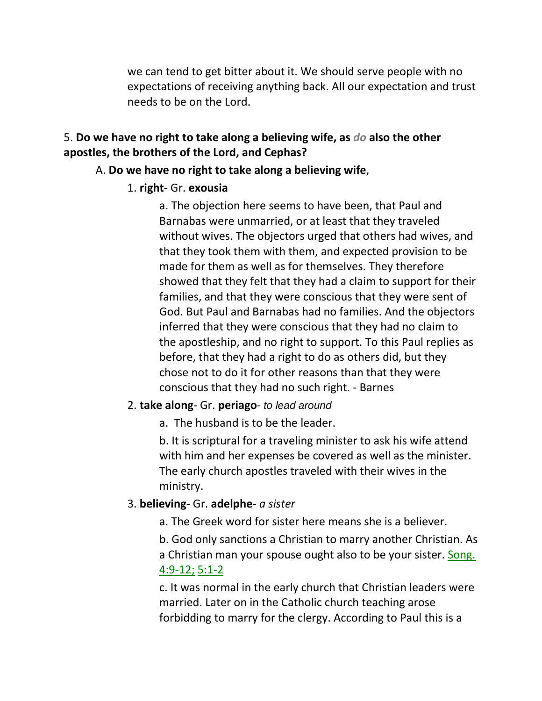we can tend to get bitter about it. We should serve people with no expectations of receiving anything back. All our expectation and trust needs to be on the Lord.

## 5. **Do we have no right to take along a believing wife, as** *do* **also the other apostles, the brothers of the Lord, and Cephas?**

#### A. **Do we have no right to take along a believing wife**,

#### 1. **right**- Gr. **exousia**

a. The objection here seems to have been, that Paul and Barnabas were unmarried, or at least that they traveled without wives. The objectors urged that others had wives, and that they took them with them, and expected provision to be made for them as well as for themselves. They therefore showed that they felt that they had a claim to support for their families, and that they were conscious that they were sent of God. But Paul and Barnabas had no families. And the objectors inferred that they were conscious that they had no claim to the apostleship, and no right to support. To this Paul replies as before, that they had a right to do as others did, but they chose not to do it for other reasons than that they were conscious that they had no such right. - Barnes

#### 2. **take along**- Gr. **periago**- *to lead around*

a. The husband is to be the leader.

b. It is scriptural for a traveling minister to ask his wife attend with him and her expenses be covered as well as the minister. The early church apostles traveled with their wives in the ministry.

## 3. **believing**- Gr. **adelphe**- *a sister*

a. The Greek word for sister here means she is a believer.

b. God only sanctions a Christian to marry another Christian. As a Christian man your spouse ought also to be your sister. Song. 4:9-12; 5:1-2

c. It was normal in the early church that Christian leaders were married. Later on in the Catholic church teaching arose forbidding to marry for the clergy. According to Paul this is a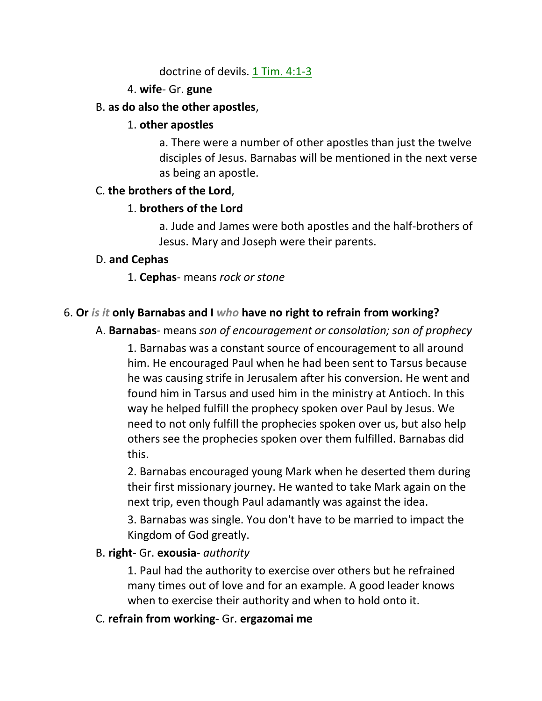doctrine of devils. 1 Tim. 4:1-3

# 4. **wife**- Gr. **gune**

## B. **as do also the other apostles**,

## 1. **other apostles**

a. There were a number of other apostles than just the twelve disciples of Jesus. Barnabas will be mentioned in the next verse as being an apostle.

## C. **the brothers of the Lord**,

# 1. **brothers of the Lord**

a. Jude and James were both apostles and the half-brothers of Jesus. Mary and Joseph were their parents.

## D. **and Cephas**

1. **Cephas**- means *rock or stone*

# 6. **Or** *is it* **only Barnabas and I** *who* **have no right to refrain from working?**

A. **Barnabas**- means *son of encouragement or consolation; son of prophecy*

1. Barnabas was a constant source of encouragement to all around him. He encouraged Paul when he had been sent to Tarsus because he was causing strife in Jerusalem after his conversion. He went and found him in Tarsus and used him in the ministry at Antioch. In this way he helped fulfill the prophecy spoken over Paul by Jesus. We need to not only fulfill the prophecies spoken over us, but also help others see the prophecies spoken over them fulfilled. Barnabas did this.

2. Barnabas encouraged young Mark when he deserted them during their first missionary journey. He wanted to take Mark again on the next trip, even though Paul adamantly was against the idea.

3. Barnabas was single. You don't have to be married to impact the Kingdom of God greatly.

# B. **right**- Gr. **exousia**- *authority*

1. Paul had the authority to exercise over others but he refrained many times out of love and for an example. A good leader knows when to exercise their authority and when to hold onto it.

# C. **refrain from working**- Gr. **ergazomai me**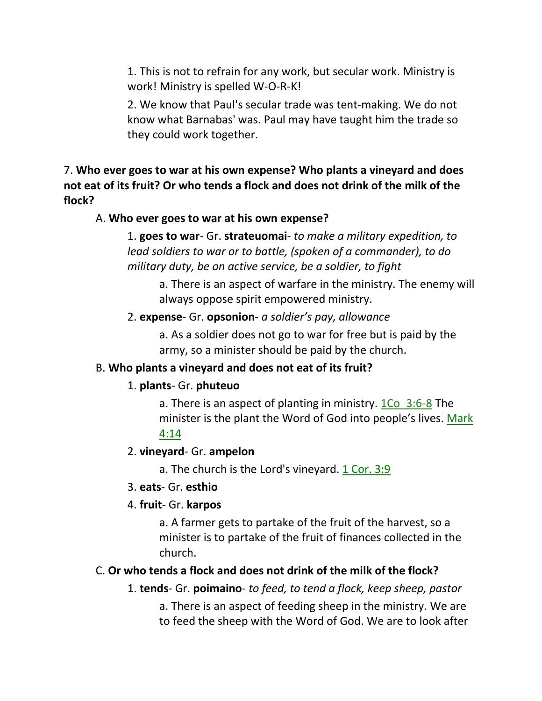1. This is not to refrain for any work, but secular work. Ministry is work! Ministry is spelled W-O-R-K!

2. We know that Paul's secular trade was tent-making. We do not know what Barnabas' was. Paul may have taught him the trade so they could work together.

7. **Who ever goes to war at his own expense? Who plants a vineyard and does not eat of its fruit? Or who tends a flock and does not drink of the milk of the flock?** 

#### A. **Who ever goes to war at his own expense?**

1. **goes to war**- Gr. **strateuomai**- *to make a military expedition, to lead soldiers to war or to battle, (spoken of a commander), to do military duty, be on active service, be a soldier, to fight*

a. There is an aspect of warfare in the ministry. The enemy will always oppose spirit empowered ministry.

#### 2. **expense**- Gr. **opsonion**- *a soldier's pay, allowance*

a. As a soldier does not go to war for free but is paid by the army, so a minister should be paid by the church.

## B. **Who plants a vineyard and does not eat of its fruit?**

# 1. **plants**- Gr. **phuteuo**

a. There is an aspect of planting in ministry. 1Co\_3:6-8 The minister is the plant the Word of God into people's lives. Mark 4:14

## 2. **vineyard**- Gr. **ampelon**

a. The church is the Lord's vineyard.  $1$  Cor. 3:9

## 3. **eats**- Gr. **esthio**

# 4. **fruit**- Gr. **karpos**

a. A farmer gets to partake of the fruit of the harvest, so a minister is to partake of the fruit of finances collected in the church.

# C. **Or who tends a flock and does not drink of the milk of the flock?**

1. **tends**- Gr. **poimaino**- *to feed, to tend a flock, keep sheep, pastor*

a. There is an aspect of feeding sheep in the ministry. We are to feed the sheep with the Word of God. We are to look after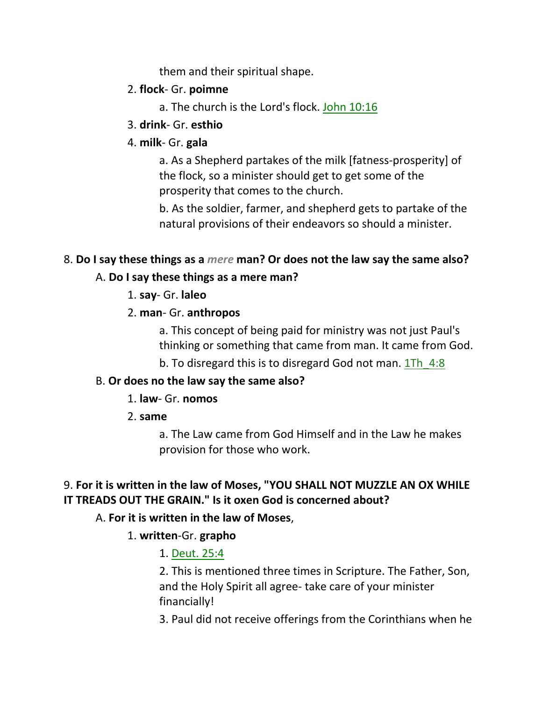them and their spiritual shape.

# 2. **flock**- Gr. **poimne**

- a. The church is the Lord's flock. John 10:16
- 3. **drink** Gr. **esthio**

## 4. **milk**- Gr. **gala**

a. As a Shepherd partakes of the milk [fatness-prosperity] of the flock, so a minister should get to get some of the prosperity that comes to the church.

b. As the soldier, farmer, and shepherd gets to partake of the natural provisions of their endeavors so should a minister.

# 8. **Do I say these things as a** *mere* **man? Or does not the law say the same also?**

# A. **Do I say these things as a mere man?**

1. **say**- Gr. **laleo**

# 2. **man**- Gr. **anthropos**

a. This concept of being paid for ministry was not just Paul's thinking or something that came from man. It came from God.

b. To disregard this is to disregard God not man. 1Th 4:8

# B. **Or does no the law say the same also?**

## 1. **law**- Gr. **nomos**

2. **same**

a. The Law came from God Himself and in the Law he makes provision for those who work.

# 9. **For it is written in the law of Moses, "YOU SHALL NOT MUZZLE AN OX WHILE IT TREADS OUT THE GRAIN." Is it oxen God is concerned about?**

# A. **For it is written in the law of Moses**,

# 1. **written**-Gr. **grapho**

# 1. Deut. 25:4

2. This is mentioned three times in Scripture. The Father, Son, and the Holy Spirit all agree- take care of your minister financially!

3. Paul did not receive offerings from the Corinthians when he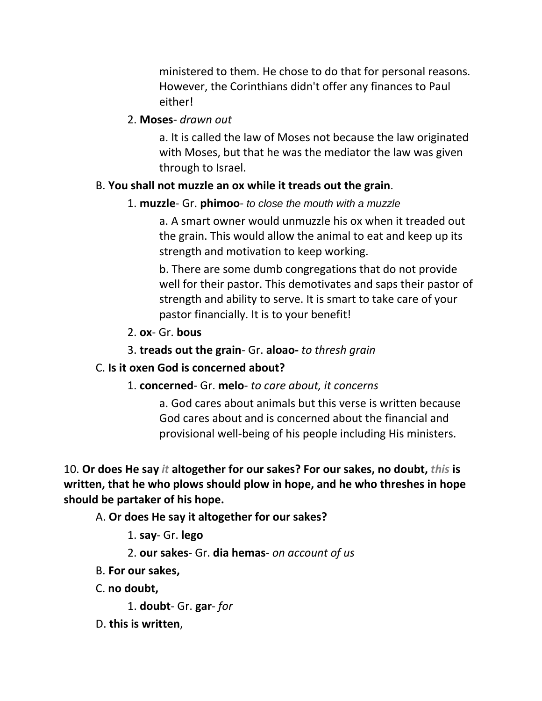ministered to them. He chose to do that for personal reasons. However, the Corinthians didn't offer any finances to Paul either!

#### 2. **Moses**- *drawn out*

a. It is called the law of Moses not because the law originated with Moses, but that he was the mediator the law was given through to Israel.

#### B. **You shall not muzzle an ox while it treads out the grain**.

#### 1. **muzzle**- Gr. **phimoo**- *to close the mouth with a muzzle*

a. A smart owner would unmuzzle his ox when it treaded out the grain. This would allow the animal to eat and keep up its strength and motivation to keep working.

b. There are some dumb congregations that do not provide well for their pastor. This demotivates and saps their pastor of strength and ability to serve. It is smart to take care of your pastor financially. It is to your benefit!

- 2. **ox** Gr. **bous**
- 3. **treads out the grain** Gr. **aloao-** *to thresh grain*

## C. **Is it oxen God is concerned about?**

## 1. **concerned**- Gr. **melo**- *to care about, it concerns*

a. God cares about animals but this verse is written because God cares about and is concerned about the financial and provisional well-being of his people including His ministers.

10. **Or does He say** *it* **altogether for our sakes? For our sakes, no doubt,** *this* **is written, that he who plows should plow in hope, and he who threshes in hope should be partaker of his hope.** 

A. **Or does He say it altogether for our sakes?**

- 1. **say** Gr. **lego**
- 2. **our sakes** Gr. **dia hemas** *on account of us*
- B. **For our sakes,**
- C. **no doubt,**

1. **doubt**- Gr. **gar**- *for*

D. **this is written**,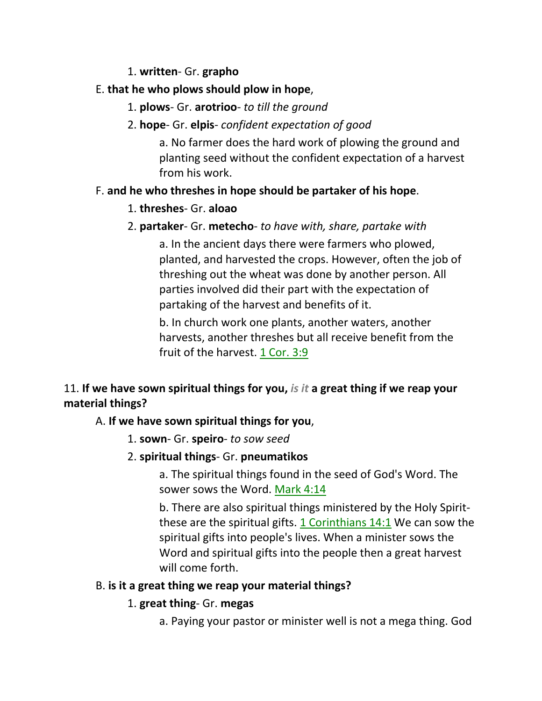## 1. **written**- Gr. **grapho**

# E. **that he who plows should plow in hope**,

1. **plows**- Gr. **arotrioo**- *to till the ground*

## 2. **hope**- Gr. **elpis**- *confident expectation of good*

a. No farmer does the hard work of plowing the ground and planting seed without the confident expectation of a harvest from his work.

## F. **and he who threshes in hope should be partaker of his hope**.

## 1. **threshes**- Gr. **aloao**

# 2. **partaker**- Gr. **metecho**- *to have with, share, partake with*

a. In the ancient days there were farmers who plowed, planted, and harvested the crops. However, often the job of threshing out the wheat was done by another person. All parties involved did their part with the expectation of partaking of the harvest and benefits of it.

b. In church work one plants, another waters, another harvests, another threshes but all receive benefit from the fruit of the harvest. 1 Cor. 3:9

# 11. **If we have sown spiritual things for you,** *is it* **a great thing if we reap your material things?**

## A. **If we have sown spiritual things for you**,

1. **sown**- Gr. **speiro**- *to sow seed* 

# 2. **spiritual things**- Gr. **pneumatikos**

a. The spiritual things found in the seed of God's Word. The sower sows the Word. Mark 4:14

b. There are also spiritual things ministered by the Holy Spiritthese are the spiritual gifts. 1 Corinthians 14:1 We can sow the spiritual gifts into people's lives. When a minister sows the Word and spiritual gifts into the people then a great harvest will come forth.

## B. **is it a great thing we reap your material things?**

## 1. **great thing**- Gr. **megas**

a. Paying your pastor or minister well is not a mega thing. God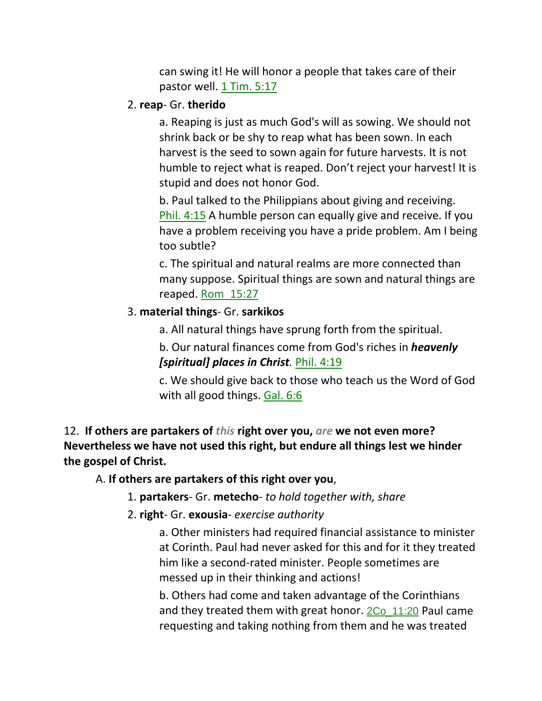can swing it! He will honor a people that takes care of their pastor well. 1 Tim. 5:17

## 2. **reap**- Gr. **therido**

a. Reaping is just as much God's will as sowing. We should not shrink back or be shy to reap what has been sown. In each harvest is the seed to sown again for future harvests. It is not humble to reject what is reaped. Don't reject your harvest! It is stupid and does not honor God.

b. Paul talked to the Philippians about giving and receiving. Phil. 4:15 A humble person can equally give and receive. If you have a problem receiving you have a pride problem. Am I being too subtle?

c. The spiritual and natural realms are more connected than many suppose. Spiritual things are sown and natural things are reaped. Rom\_15:27

## 3. **material things**- Gr. **sarkikos**

a. All natural things have sprung forth from the spiritual.

b. Our natural finances come from God's riches in *heavenly [spiritual] places in Christ.* Phil. 4:19

c. We should give back to those who teach us the Word of God with all good things. Gal. 6:6

12. **If others are partakers of** *this* **right over you,** *are* **we not even more? Nevertheless we have not used this right, but endure all things lest we hinder the gospel of Christ.** 

A. **If others are partakers of this right over you**,

1. **partakers**- Gr. **metecho**- *to hold together with, share*

2. **right**- Gr. **exousia**- *exercise authority*

a. Other ministers had required financial assistance to minister at Corinth. Paul had never asked for this and for it they treated him like a second-rated minister. People sometimes are messed up in their thinking and actions!

b. Others had come and taken advantage of the Corinthians and they treated them with great honor.  $2Co_{11:20}$  Paul came requesting and taking nothing from them and he was treated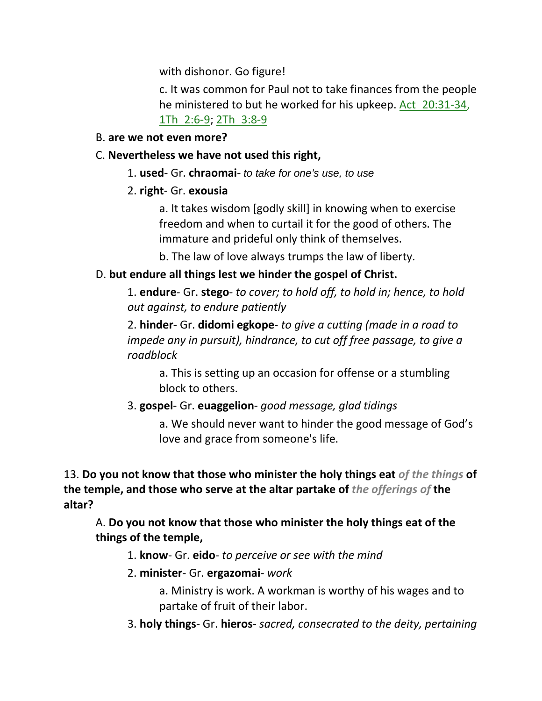with dishonor. Go figure!

c. It was common for Paul not to take finances from the people he ministered to but he worked for his upkeep. Act 20:31-34, 1Th\_2:6-9; 2Th\_3:8-9

## B. **are we not even more?**

## C. **Nevertheless we have not used this right,**

1. **used**- Gr. **chraomai**- *to take for one's use, to use*

# 2. **right**- Gr. **exousia**

a. It takes wisdom [godly skill] in knowing when to exercise freedom and when to curtail it for the good of others. The immature and prideful only think of themselves.

b. The law of love always trumps the law of liberty.

# D. **but endure all things lest we hinder the gospel of Christ.**

1. **endure**- Gr. **stego**- *to cover; to hold off, to hold in; hence, to hold out against, to endure patiently*

2. **hinder**- Gr. **didomi egkope**- *to give a cutting (made in a road to impede any in pursuit), hindrance, to cut off free passage, to give a roadblock*

a. This is setting up an occasion for offense or a stumbling block to others.

# 3. **gospel**- Gr. **euaggelion**- *good message, glad tidings*

a. We should never want to hinder the good message of God's love and grace from someone's life.

13. **Do you not know that those who minister the holy things eat** *of the things* **of the temple, and those who serve at the altar partake of** *the offerings of* **the altar?** 

A. **Do you not know that those who minister the holy things eat of the things of the temple,**

1. **know**- Gr. **eido**- *to perceive or see with the mind*

# 2. **minister**- Gr. **ergazomai**- *work*

a. Ministry is work. A workman is worthy of his wages and to partake of fruit of their labor.

3. **holy things**- Gr. **hieros**- *sacred, consecrated to the deity, pertaining*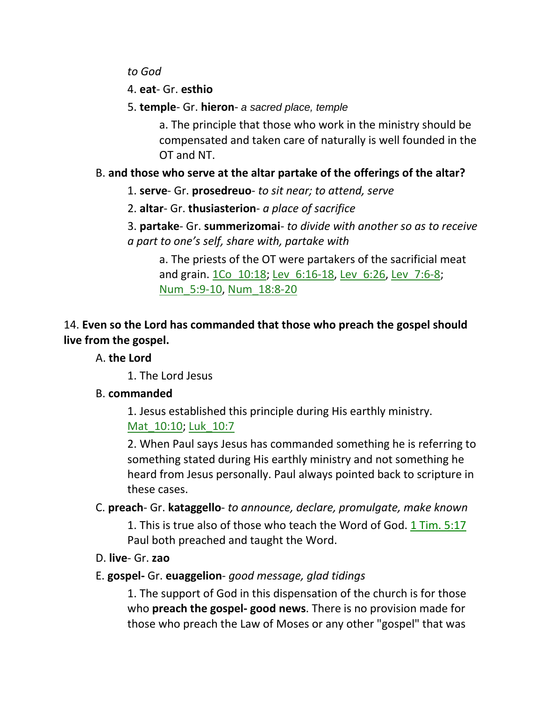*to God*

4. **eat**- Gr. **esthio**

5. **temple**- Gr. **hieron**- *a sacred place, temple*

a. The principle that those who work in the ministry should be compensated and taken care of naturally is well founded in the OT and NT.

# B. **and those who serve at the altar partake of the offerings of the altar?**

1. **serve**- Gr. **prosedreuo**- *to sit near; to attend, serve*

2. **altar**- Gr. **thusiasterion**- *a place of sacrifice*

3. **partake**- Gr. **summerizomai**- *to divide with another so as to receive a part to one's self, share with, partake with*

a. The priests of the OT were partakers of the sacrificial meat and grain. 1Co\_10:18; Lev\_6:16-18, Lev\_6:26, Lev\_7:6-8; Num\_5:9-10, Num\_18:8-20

# 14. **Even so the Lord has commanded that those who preach the gospel should live from the gospel.**

# A. **the Lord**

1. The Lord Jesus

# B. **commanded**

1. Jesus established this principle during His earthly ministry. Mat 10:10; Luk 10:7

2. When Paul says Jesus has commanded something he is referring to something stated during His earthly ministry and not something he heard from Jesus personally. Paul always pointed back to scripture in these cases.

# C. **preach**- Gr. **kataggello**- *to announce, declare, promulgate, make known*

1. This is true also of those who teach the Word of God. 1 Tim. 5:17 Paul both preached and taught the Word.

D. **live**- Gr. **zao**

# E. **gospel-** Gr. **euaggelion**- *good message, glad tidings*

1. The support of God in this dispensation of the church is for those who **preach the gospel- good news**. There is no provision made for those who preach the Law of Moses or any other "gospel" that was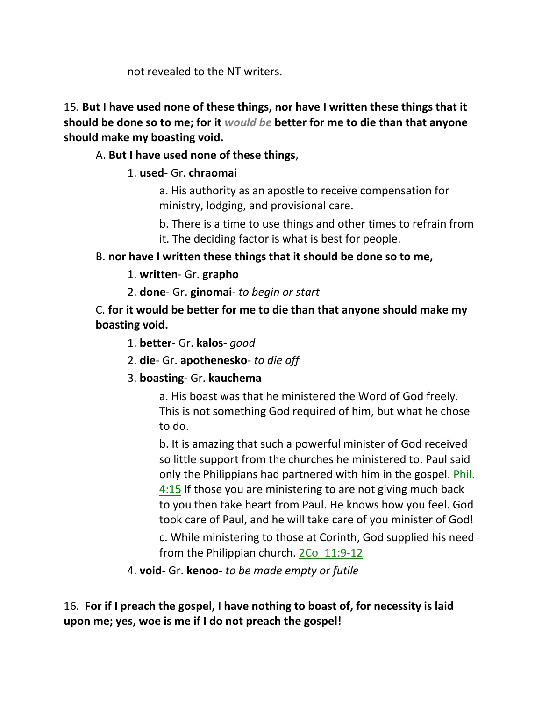not revealed to the NT writers.

15. **But I have used none of these things, nor have I written these things that it should be done so to me; for it** *would be* **better for me to die than that anyone should make my boasting void.** 

## A. **But I have used none of these things**,

# 1. **used**- Gr. **chraomai**

a. His authority as an apostle to receive compensation for ministry, lodging, and provisional care.

- b. There is a time to use things and other times to refrain from
- it. The deciding factor is what is best for people.

# B. **nor have I written these things that it should be done so to me,**

1. **written**- Gr. **grapho**

2. **done**- Gr. **ginomai**- *to begin or start*

C. **for it would be better for me to die than that anyone should make my boasting void.**

1. **better**- Gr. **kalos**- *good*

2. **die**- Gr. **apothenesko**- *to die off*

# 3. **boasting**- Gr. **kauchema**

a. His boast was that he ministered the Word of God freely. This is not something God required of him, but what he chose to do.

b. It is amazing that such a powerful minister of God received so little support from the churches he ministered to. Paul said only the Philippians had partnered with him in the gospel. Phil. 4:15 If those you are ministering to are not giving much back to you then take heart from Paul. He knows how you feel. God took care of Paul, and he will take care of you minister of God!

c. While ministering to those at Corinth, God supplied his need from the Philippian church. 2Co 11:9-12

4. **void**- Gr. **kenoo**- *to be made empty or futile*

16. **For if I preach the gospel, I have nothing to boast of, for necessity is laid upon me; yes, woe is me if I do not preach the gospel!**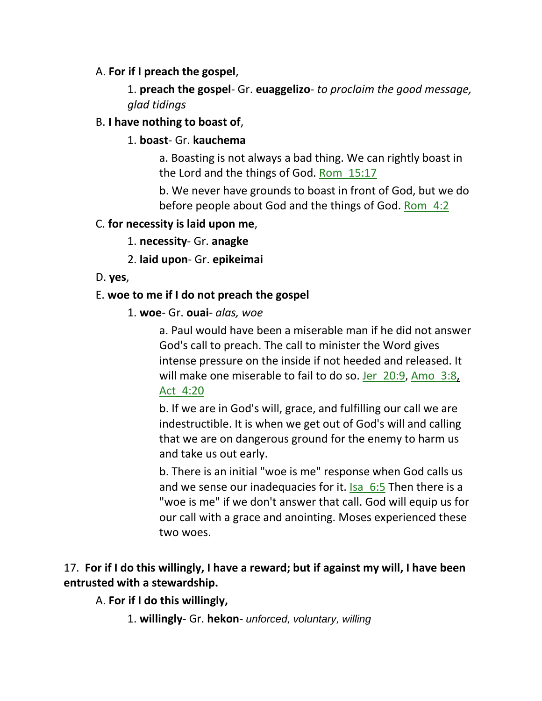## A. **For if I preach the gospel**,

1. **preach the gospel**- Gr. **euaggelizo**- *to proclaim the good message, glad tidings*

## B. **I have nothing to boast of**,

## 1. **boast**- Gr. **kauchema**

a. Boasting is not always a bad thing. We can rightly boast in the Lord and the things of God. Rom\_15:17

b. We never have grounds to boast in front of God, but we do before people about God and the things of God. Rom 4:2

## C. **for necessity is laid upon me**,

- 1. **necessity** Gr. **anagke**
- 2. **laid upon** Gr. **epikeimai**
- D. **yes**,

## E. **woe to me if I do not preach the gospel**

1. **woe**- Gr. **ouai**- *alas, woe*

a. Paul would have been a miserable man if he did not answer God's call to preach. The call to minister the Word gives intense pressure on the inside if not heeded and released. It will make one miserable to fail to do so. Jer\_20:9, Amo\_3:8, Act\_4:20

b. If we are in God's will, grace, and fulfilling our call we are indestructible. It is when we get out of God's will and calling that we are on dangerous ground for the enemy to harm us and take us out early.

b. There is an initial "woe is me" response when God calls us and we sense our inadequacies for it. Isa 6:5 Then there is a "woe is me" if we don't answer that call. God will equip us for our call with a grace and anointing. Moses experienced these two woes.

# 17. **For if I do this willingly, I have a reward; but if against my will, I have been entrusted with a stewardship.**

# A. **For if I do this willingly,**

1. **willingly**- Gr. **hekon**- *unforced, voluntary, willing*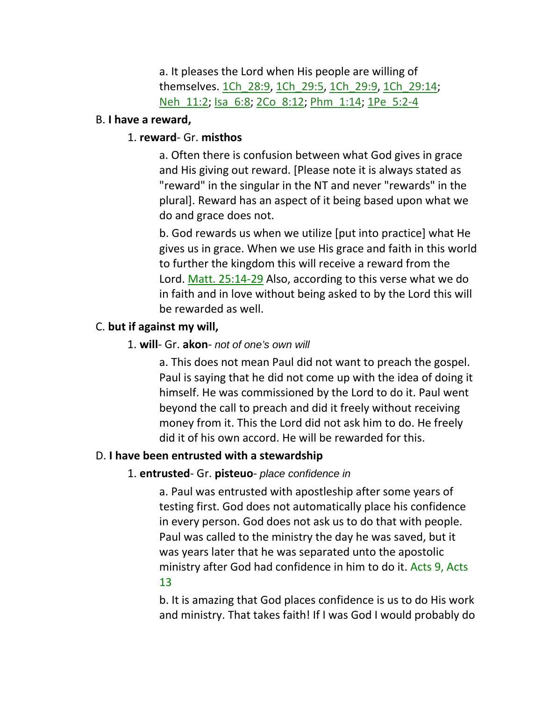a. It pleases the Lord when His people are willing of themselves. 1Ch\_28:9, 1Ch\_29:5, 1Ch\_29:9, 1Ch\_29:14; Neh\_11:2; Isa\_6:8; 2Co\_8:12; Phm\_1:14; 1Pe\_5:2-4

#### B. **I have a reward,**

## 1. **reward**- Gr. **misthos**

a. Often there is confusion between what God gives in grace and His giving out reward. [Please note it is always stated as "reward" in the singular in the NT and never "rewards" in the plural]. Reward has an aspect of it being based upon what we do and grace does not.

b. God rewards us when we utilize [put into practice] what He gives us in grace. When we use His grace and faith in this world to further the kingdom this will receive a reward from the Lord. Matt. 25:14-29 Also, according to this verse what we do in faith and in love without being asked to by the Lord this will be rewarded as well.

## C. **but if against my will,**

#### 1. **will**- Gr. **akon**- *not of one's own will*

a. This does not mean Paul did not want to preach the gospel. Paul is saying that he did not come up with the idea of doing it himself. He was commissioned by the Lord to do it. Paul went beyond the call to preach and did it freely without receiving money from it. This the Lord did not ask him to do. He freely did it of his own accord. He will be rewarded for this.

#### D. **I have been entrusted with a stewardship**

#### 1. **entrusted**- Gr. **pisteuo**- *place confidence in*

a. Paul was entrusted with apostleship after some years of testing first. God does not automatically place his confidence in every person. God does not ask us to do that with people. Paul was called to the ministry the day he was saved, but it was years later that he was separated unto the apostolic ministry after God had confidence in him to do it. Acts 9, Acts 13

b. It is amazing that God places confidence is us to do His work and ministry. That takes faith! If I was God I would probably do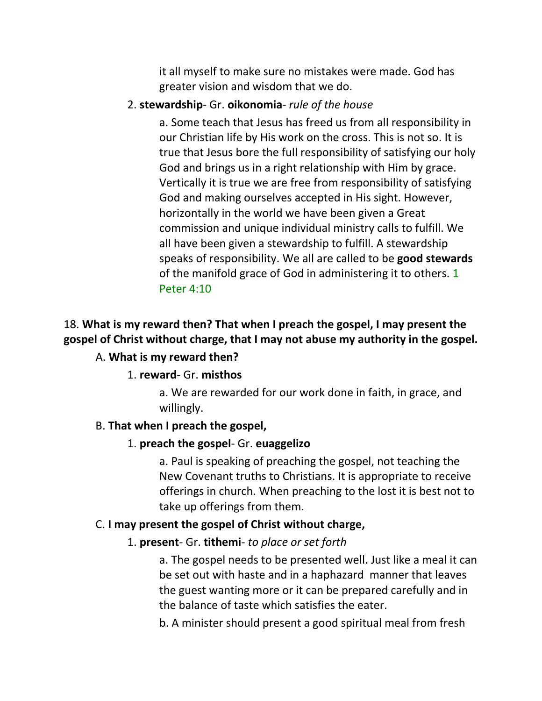it all myself to make sure no mistakes were made. God has greater vision and wisdom that we do.

#### 2. **stewardship**- Gr. **oikonomia**- *rule of the house*

a. Some teach that Jesus has freed us from all responsibility in our Christian life by His work on the cross. This is not so. It is true that Jesus bore the full responsibility of satisfying our holy God and brings us in a right relationship with Him by grace. Vertically it is true we are free from responsibility of satisfying God and making ourselves accepted in His sight. However, horizontally in the world we have been given a Great commission and unique individual ministry calls to fulfill. We all have been given a stewardship to fulfill. A stewardship speaks of responsibility. We all are called to be **good stewards** of the manifold grace of God in administering it to others. 1 Peter 4:10

# 18. **What is my reward then? That when I preach the gospel, I may present the gospel of Christ without charge, that I may not abuse my authority in the gospel.**

## A. **What is my reward then?**

#### 1. **reward**- Gr. **misthos**

a. We are rewarded for our work done in faith, in grace, and willingly.

#### B. **That when I preach the gospel,**

#### 1. **preach the gospel**- Gr. **euaggelizo**

a. Paul is speaking of preaching the gospel, not teaching the New Covenant truths to Christians. It is appropriate to receive offerings in church. When preaching to the lost it is best not to take up offerings from them.

#### C. **I may present the gospel of Christ without charge,**

#### 1. **present**- Gr. **tithemi**- *to place or set forth*

a. The gospel needs to be presented well. Just like a meal it can be set out with haste and in a haphazard manner that leaves the guest wanting more or it can be prepared carefully and in the balance of taste which satisfies the eater.

b. A minister should present a good spiritual meal from fresh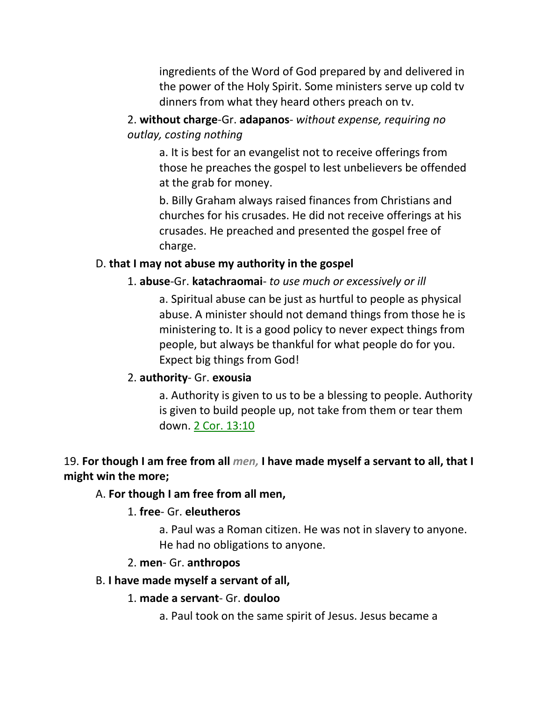ingredients of the Word of God prepared by and delivered in the power of the Holy Spirit. Some ministers serve up cold tv dinners from what they heard others preach on tv.

2. **without charge**-Gr. **adapanos**- *without expense, requiring no outlay, costing nothing*

a. It is best for an evangelist not to receive offerings from those he preaches the gospel to lest unbelievers be offended at the grab for money.

b. Billy Graham always raised finances from Christians and churches for his crusades. He did not receive offerings at his crusades. He preached and presented the gospel free of charge.

## D. **that I may not abuse my authority in the gospel**

# 1. **abuse**-Gr. **katachraomai**- *to use much or excessively or ill*

a. Spiritual abuse can be just as hurtful to people as physical abuse. A minister should not demand things from those he is ministering to. It is a good policy to never expect things from people, but always be thankful for what people do for you. Expect big things from God!

# 2. **authority**- Gr. **exousia**

a. Authority is given to us to be a blessing to people. Authority is given to build people up, not take from them or tear them down. 2 Cor. 13:10

# 19. **For though I am free from all** *men,* **I have made myself a servant to all, that I might win the more;**

# A. **For though I am free from all men,**

# 1. **free**- Gr. **eleutheros**

a. Paul was a Roman citizen. He was not in slavery to anyone. He had no obligations to anyone.

# 2. **men**- Gr. **anthropos**

# B. **I have made myself a servant of all,**

# 1. **made a servant**- Gr. **douloo**

a. Paul took on the same spirit of Jesus. Jesus became a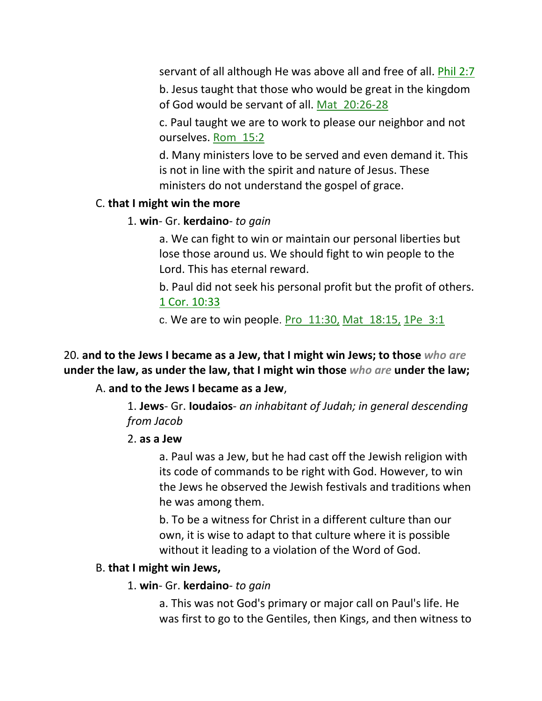servant of all although He was above all and free of all. **Phil 2:7** 

b. Jesus taught that those who would be great in the kingdom of God would be servant of all. Mat\_20:26-28

c. Paul taught we are to work to please our neighbor and not ourselves. Rom\_15:2

d. Many ministers love to be served and even demand it. This is not in line with the spirit and nature of Jesus. These ministers do not understand the gospel of grace.

## C. **that I might win the more**

## 1. **win**- Gr. **kerdaino**- *to gain*

a. We can fight to win or maintain our personal liberties but lose those around us. We should fight to win people to the Lord. This has eternal reward.

b. Paul did not seek his personal profit but the profit of others. 1 Cor. 10:33

c. We are to win people. Pro  $11:30$ , Mat  $18:15$ , 1Pe  $3:1$ 

20. **and to the Jews I became as a Jew, that I might win Jews; to those** *who are* **under the law, as under the law, that I might win those** *who are* **under the law;**

## A. **and to the Jews I became as a Jew**,

1. **Jews**- Gr. **Ioudaios**- *an inhabitant of Judah; in general descending from Jacob*

## 2. **as a Jew**

a. Paul was a Jew, but he had cast off the Jewish religion with its code of commands to be right with God. However, to win the Jews he observed the Jewish festivals and traditions when he was among them.

b. To be a witness for Christ in a different culture than our own, it is wise to adapt to that culture where it is possible without it leading to a violation of the Word of God.

## B. **that I might win Jews,**

## 1. **win**- Gr. **kerdaino**- *to gain*

a. This was not God's primary or major call on Paul's life. He was first to go to the Gentiles, then Kings, and then witness to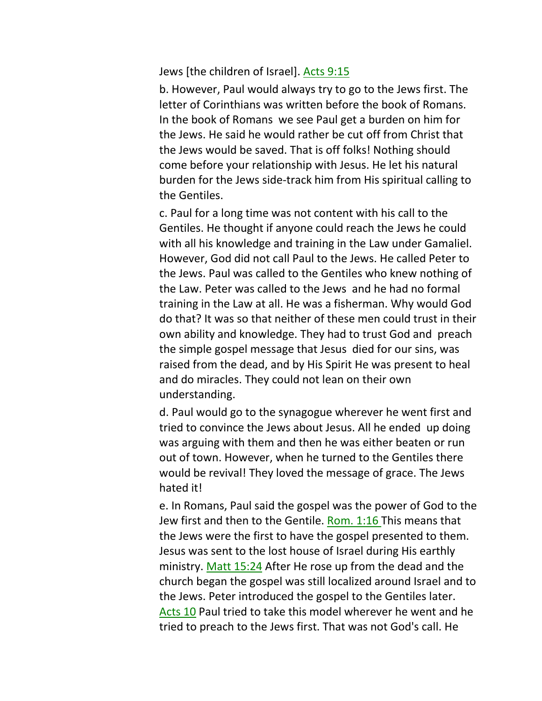Jews [the children of Israel]. Acts 9:15

b. However, Paul would always try to go to the Jews first. The letter of Corinthians was written before the book of Romans. In the book of Romans we see Paul get a burden on him for the Jews. He said he would rather be cut off from Christ that the Jews would be saved. That is off folks! Nothing should come before your relationship with Jesus. He let his natural burden for the Jews side-track him from His spiritual calling to the Gentiles.

c. Paul for a long time was not content with his call to the Gentiles. He thought if anyone could reach the Jews he could with all his knowledge and training in the Law under Gamaliel. However, God did not call Paul to the Jews. He called Peter to the Jews. Paul was called to the Gentiles who knew nothing of the Law. Peter was called to the Jews and he had no formal training in the Law at all. He was a fisherman. Why would God do that? It was so that neither of these men could trust in their own ability and knowledge. They had to trust God and preach the simple gospel message that Jesus died for our sins, was raised from the dead, and by His Spirit He was present to heal and do miracles. They could not lean on their own understanding.

d. Paul would go to the synagogue wherever he went first and tried to convince the Jews about Jesus. All he ended up doing was arguing with them and then he was either beaten or run out of town. However, when he turned to the Gentiles there would be revival! They loved the message of grace. The Jews hated it!

e. In Romans, Paul said the gospel was the power of God to the Jew first and then to the Gentile. Rom. 1:16 This means that the Jews were the first to have the gospel presented to them. Jesus was sent to the lost house of Israel during His earthly ministry. Matt 15:24 After He rose up from the dead and the church began the gospel was still localized around Israel and to the Jews. Peter introduced the gospel to the Gentiles later. Acts 10 Paul tried to take this model wherever he went and he tried to preach to the Jews first. That was not God's call. He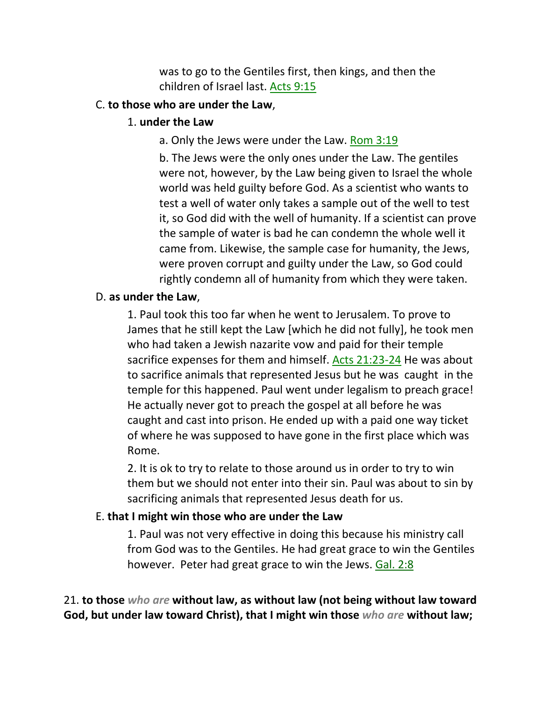was to go to the Gentiles first, then kings, and then the children of Israel last. Acts 9:15

#### C. **to those who are under the Law**,

#### 1. **under the Law**

a. Only the Jews were under the Law. Rom 3:19

b. The Jews were the only ones under the Law. The gentiles were not, however, by the Law being given to Israel the whole world was held guilty before God. As a scientist who wants to test a well of water only takes a sample out of the well to test it, so God did with the well of humanity. If a scientist can prove the sample of water is bad he can condemn the whole well it came from. Likewise, the sample case for humanity, the Jews, were proven corrupt and guilty under the Law, so God could rightly condemn all of humanity from which they were taken.

#### D. **as under the Law**,

1. Paul took this too far when he went to Jerusalem. To prove to James that he still kept the Law [which he did not fully], he took men who had taken a Jewish nazarite vow and paid for their temple sacrifice expenses for them and himself. Acts 21:23-24 He was about to sacrifice animals that represented Jesus but he was caught in the temple for this happened. Paul went under legalism to preach grace! He actually never got to preach the gospel at all before he was caught and cast into prison. He ended up with a paid one way ticket of where he was supposed to have gone in the first place which was Rome.

2. It is ok to try to relate to those around us in order to try to win them but we should not enter into their sin. Paul was about to sin by sacrificing animals that represented Jesus death for us.

## E. **that I might win those who are under the Law**

1. Paul was not very effective in doing this because his ministry call from God was to the Gentiles. He had great grace to win the Gentiles however. Peter had great grace to win the Jews. Gal. 2:8

21. **to those** *who are* **without law, as without law (not being without law toward God, but under law toward Christ), that I might win those** *who are* **without law;**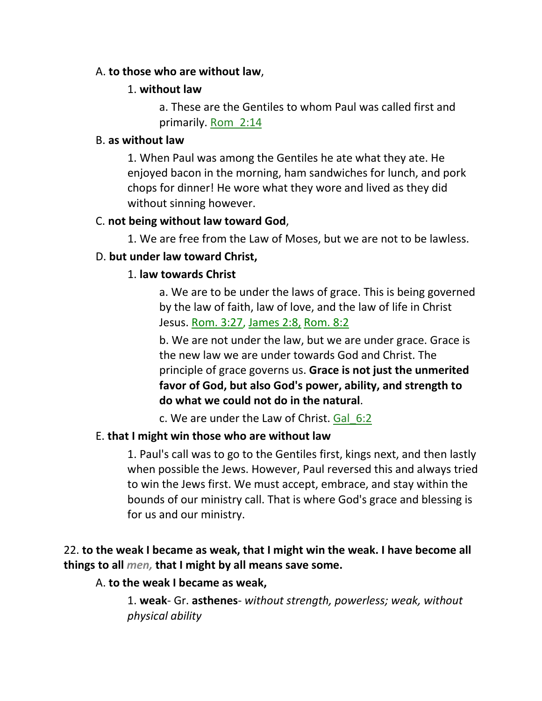#### A. **to those who are without law**,

## 1. **without law**

a. These are the Gentiles to whom Paul was called first and primarily. Rom\_2:14

#### B. **as without law**

1. When Paul was among the Gentiles he ate what they ate. He enjoyed bacon in the morning, ham sandwiches for lunch, and pork chops for dinner! He wore what they wore and lived as they did without sinning however.

## C. **not being without law toward God**,

1. We are free from the Law of Moses, but we are not to be lawless.

# D. **but under law toward Christ,**

# 1. **law towards Christ**

a. We are to be under the laws of grace. This is being governed by the law of faith, law of love, and the law of life in Christ Jesus. Rom. 3:27, James 2:8, Rom. 8:2

b. We are not under the law, but we are under grace. Grace is the new law we are under towards God and Christ. The principle of grace governs us. **Grace is not just the unmerited favor of God, but also God's power, ability, and strength to do what we could not do in the natural**.

c. We are under the Law of Christ. Gal\_6:2

## E. **that I might win those who are without law**

1. Paul's call was to go to the Gentiles first, kings next, and then lastly when possible the Jews. However, Paul reversed this and always tried to win the Jews first. We must accept, embrace, and stay within the bounds of our ministry call. That is where God's grace and blessing is for us and our ministry.

# 22. **to the weak I became as weak, that I might win the weak. I have become all things to all** *men,* **that I might by all means save some.**

# A. **to the weak I became as weak,**

1. **weak**- Gr. **asthenes**- *without strength, powerless; weak, without physical ability*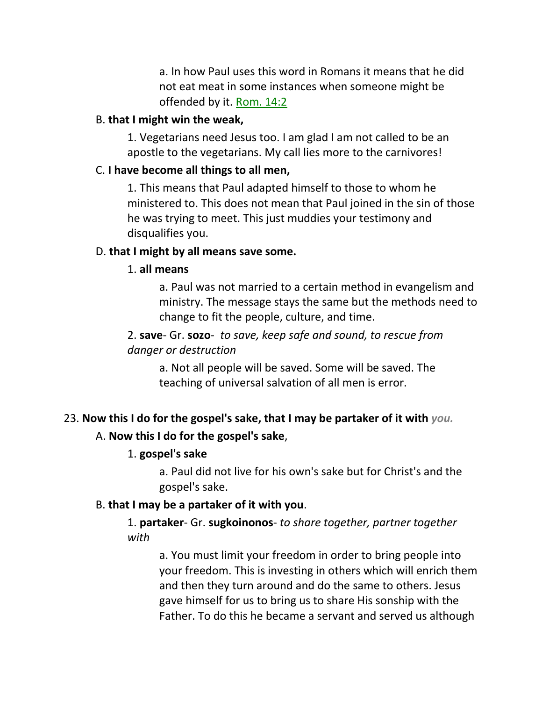a. In how Paul uses this word in Romans it means that he did not eat meat in some instances when someone might be offended by it. Rom. 14:2

#### B. **that I might win the weak,**

1. Vegetarians need Jesus too. I am glad I am not called to be an apostle to the vegetarians. My call lies more to the carnivores!

#### C. **I have become all things to all men,**

1. This means that Paul adapted himself to those to whom he ministered to. This does not mean that Paul joined in the sin of those he was trying to meet. This just muddies your testimony and disqualifies you.

#### D. **that I might by all means save some.**

#### 1. **all means**

a. Paul was not married to a certain method in evangelism and ministry. The message stays the same but the methods need to change to fit the people, culture, and time.

## 2. **save**- Gr. **sozo**- *to save, keep safe and sound, to rescue from danger or destruction*

a. Not all people will be saved. Some will be saved. The teaching of universal salvation of all men is error.

## 23. **Now this I do for the gospel's sake, that I may be partaker of it with** *you.*

#### A. **Now this I do for the gospel's sake**,

#### 1. **gospel's sake**

a. Paul did not live for his own's sake but for Christ's and the gospel's sake.

#### B. **that I may be a partaker of it with you**.

1. **partaker**- Gr. **sugkoinonos**- *to share together, partner together with*

a. You must limit your freedom in order to bring people into your freedom. This is investing in others which will enrich them and then they turn around and do the same to others. Jesus gave himself for us to bring us to share His sonship with the Father. To do this he became a servant and served us although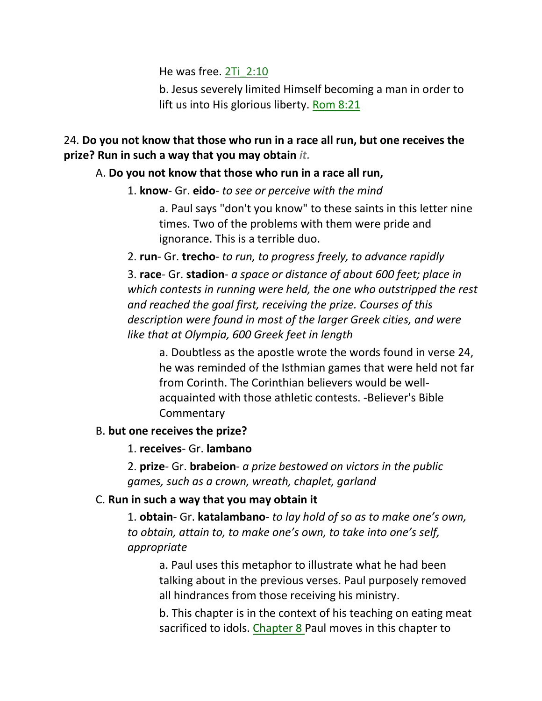He was free. 2Ti\_2:10

b. Jesus severely limited Himself becoming a man in order to lift us into His glorious liberty. Rom 8:21

## 24. **Do you not know that those who run in a race all run, but one receives the prize? Run in such a way that you may obtain** *it.*

## A. **Do you not know that those who run in a race all run,**

## 1. **know**- Gr. **eido**- *to see or perceive with the mind*

a. Paul says "don't you know" to these saints in this letter nine times. Two of the problems with them were pride and ignorance. This is a terrible duo.

2. **run**- Gr. **trecho**- *to run, to progress freely, to advance rapidly*

3. **race**- Gr. **stadion**- *a space or distance of about 600 feet; place in which contests in running were held, the one who outstripped the rest and reached the goal first, receiving the prize. Courses of this description were found in most of the larger Greek cities, and were like that at Olympia, 600 Greek feet in length*

a. Doubtless as the apostle wrote the words found in verse 24, he was reminded of the Isthmian games that were held not far from Corinth. The Corinthian believers would be wellacquainted with those athletic contests. -Believer's Bible **Commentary** 

## B. **but one receives the prize?**

1. **receives**- Gr. **lambano**

2. **prize**- Gr. **brabeion**- *a prize bestowed on victors in the public games, such as a crown, wreath, chaplet, garland*

## C. **Run in such a way that you may obtain it**

1. **obtain**- Gr. **katalambano**- *to lay hold of so as to make one's own, to obtain, attain to, to make one's own, to take into one's self, appropriate*

a. Paul uses this metaphor to illustrate what he had been talking about in the previous verses. Paul purposely removed all hindrances from those receiving his ministry.

b. This chapter is in the context of his teaching on eating meat sacrificed to idols. Chapter 8 Paul moves in this chapter to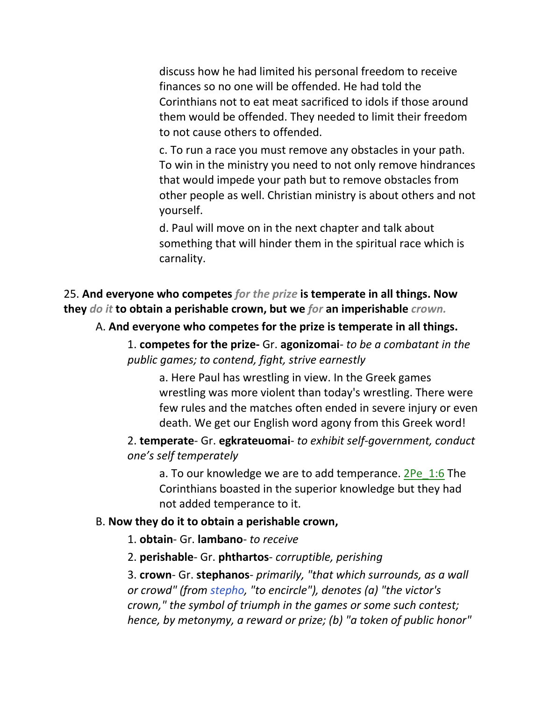discuss how he had limited his personal freedom to receive finances so no one will be offended. He had told the Corinthians not to eat meat sacrificed to idols if those around them would be offended. They needed to limit their freedom to not cause others to offended.

c. To run a race you must remove any obstacles in your path. To win in the ministry you need to not only remove hindrances that would impede your path but to remove obstacles from other people as well. Christian ministry is about others and not yourself.

d. Paul will move on in the next chapter and talk about something that will hinder them in the spiritual race which is carnality.

25. **And everyone who competes** *for the prize* **is temperate in all things. Now they** *do it* **to obtain a perishable crown, but we** *for* **an imperishable** *crown.*

#### A. **And everyone who competes for the prize is temperate in all things.**

1. **competes for the prize-** Gr. **agonizomai***- to be a combatant in the public games; to contend, fight, strive earnestly*

a. Here Paul has wrestling in view. In the Greek games wrestling was more violent than today's wrestling. There were few rules and the matches often ended in severe injury or even death. We get our English word agony from this Greek word!

2. **temperate**- Gr. **egkrateuomai**- *to exhibit self-government, conduct one's self temperately*

a. To our knowledge we are to add temperance. 2Pe 1:6 The Corinthians boasted in the superior knowledge but they had not added temperance to it.

#### B. **Now they do it to obtain a perishable crown,**

1. **obtain**- Gr. **lambano**- *to receive*

2. **perishable**- Gr. **phthartos**- *corruptible, perishing*

3. **crown**- Gr. **stephanos**- *primarily, "that which surrounds, as a wall or crowd" (from stepho, "to encircle"), denotes (a) "the victor's crown," the symbol of triumph in the games or some such contest; hence, by metonymy, a reward or prize; (b) "a token of public honor"*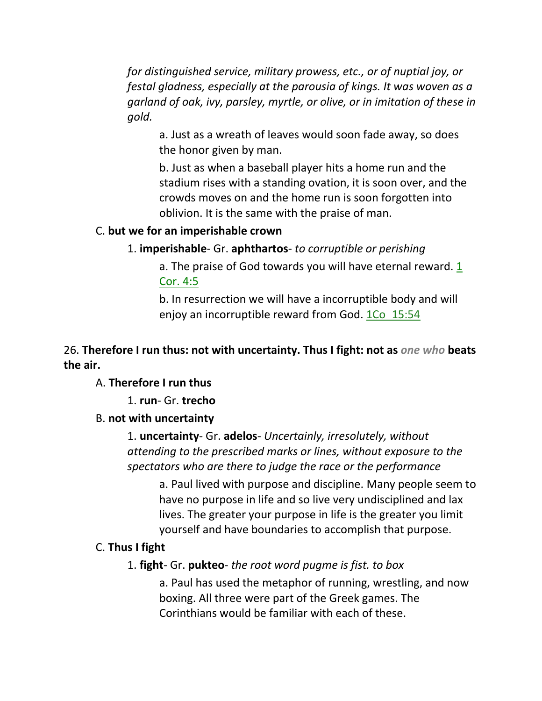*for distinguished service, military prowess, etc., or of nuptial joy, or festal gladness, especially at the parousia of kings. It was woven as a garland of oak, ivy, parsley, myrtle, or olive, or in imitation of these in gold.*

a. Just as a wreath of leaves would soon fade away, so does the honor given by man.

b. Just as when a baseball player hits a home run and the stadium rises with a standing ovation, it is soon over, and the crowds moves on and the home run is soon forgotten into oblivion. It is the same with the praise of man.

#### C. **but we for an imperishable crown**

1. **imperishable**- Gr. **aphthartos**- *to corruptible or perishing*

a. The praise of God towards you will have eternal reward. 1 Cor. 4:5

b. In resurrection we will have a incorruptible body and will enjoy an incorruptible reward from God. 1Co 15:54

## 26. **Therefore I run thus: not with uncertainty. Thus I fight: not as** *one who* **beats the air.**

#### A. **Therefore I run thus**

1. **run**- Gr. **trecho**

#### B. **not with uncertainty**

1. **uncertainty**- Gr. **adelos**- *Uncertainly, irresolutely, without attending to the prescribed marks or lines, without exposure to the spectators who are there to judge the race or the performance*

a. Paul lived with purpose and discipline. Many people seem to have no purpose in life and so live very undisciplined and lax lives. The greater your purpose in life is the greater you limit yourself and have boundaries to accomplish that purpose.

#### C. **Thus I fight**

1. **fight**- Gr. **pukteo**- *the root word pugme is fist. to box*

a. Paul has used the metaphor of running, wrestling, and now boxing. All three were part of the Greek games. The Corinthians would be familiar with each of these.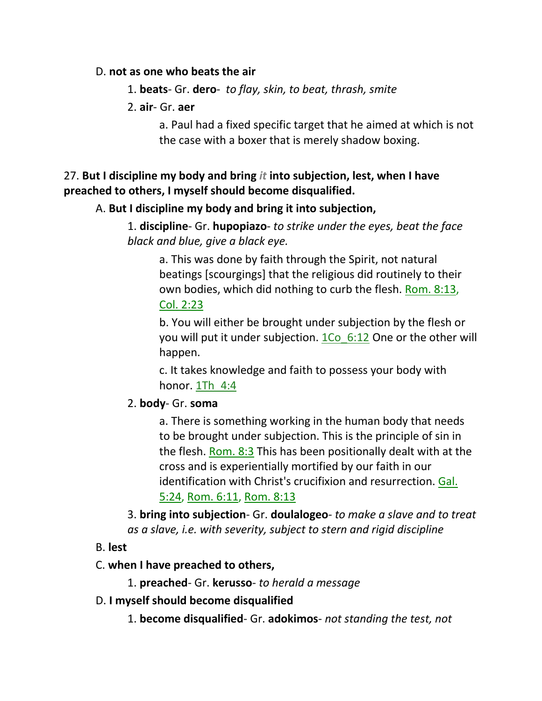#### D. **not as one who beats the air**

- 1. **beats** Gr. **dero** *to flay, skin, to beat, thrash, smite*
- 2. **air** Gr. **aer**

a. Paul had a fixed specific target that he aimed at which is not the case with a boxer that is merely shadow boxing.

# 27. **But I discipline my body and bring** *it* **into subjection, lest, when I have preached to others, I myself should become disqualified.**

# A. **But I discipline my body and bring it into subjection,**

1. **discipline**- Gr. **hupopiazo**- *to strike under the eyes, beat the face black and blue, give a black eye.*

a. This was done by faith through the Spirit, not natural beatings [scourgings] that the religious did routinely to their own bodies, which did nothing to curb the flesh. Rom. 8:13, Col. 2:23

b. You will either be brought under subjection by the flesh or you will put it under subjection. 1Co 6:12 One or the other will happen.

c. It takes knowledge and faith to possess your body with honor. 1Th 4:4

# 2. **body**- Gr. **soma**

a. There is something working in the human body that needs to be brought under subjection. This is the principle of sin in the flesh. Rom. 8:3 This has been positionally dealt with at the cross and is experientially mortified by our faith in our identification with Christ's crucifixion and resurrection. Gal. 5:24, Rom. 6:11, Rom. 8:13

3. **bring into subjection**- Gr. **doulalogeo***- to make a slave and to treat as a slave, i.e. with severity, subject to stern and rigid discipline*

# B. **lest**

# C. **when I have preached to others,**

1. **preached**- Gr. **kerusso**- *to herald a message*

D. **I myself should become disqualified**

1. **become disqualified**- Gr. **adokimos**- *not standing the test, not*